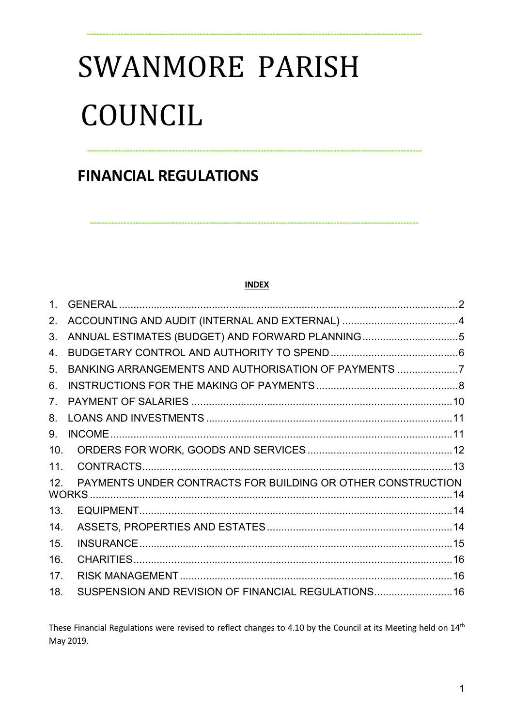# **SWANMORE PARISH** COUNCIL

## **FINANCIAL REGULATIONS**

#### **INDEX**

| 1 <sub>1</sub>  |                                                             |  |
|-----------------|-------------------------------------------------------------|--|
| 2.              |                                                             |  |
| 3.              |                                                             |  |
| 4.              |                                                             |  |
| 5.              | BANKING ARRANGEMENTS AND AUTHORISATION OF PAYMENTS 7        |  |
| 6.              |                                                             |  |
| 7 <sub>1</sub>  |                                                             |  |
| 8.              |                                                             |  |
| 9.              |                                                             |  |
| 10.             |                                                             |  |
| 11.             |                                                             |  |
| 12 <sub>1</sub> | PAYMENTS UNDER CONTRACTS FOR BUILDING OR OTHER CONSTRUCTION |  |
| 13.             |                                                             |  |
| 14.             |                                                             |  |
| 15.             |                                                             |  |
| 16.             |                                                             |  |
| 17.             |                                                             |  |
| 18.             | SUSPENSION AND REVISION OF FINANCIAL REGULATIONS 16         |  |

These Financial Regulations were revised to reflect changes to 4.10 by the Council at its Meeting held on 14<sup>th</sup> May 2019.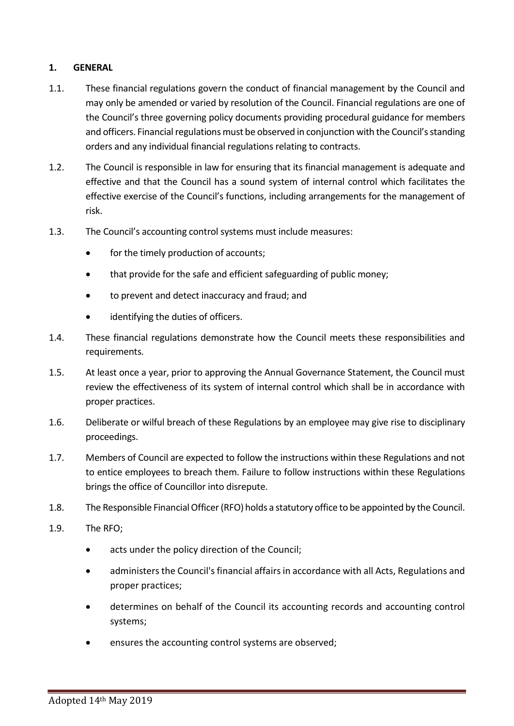#### 1. GENERAL

- 1.1. These financial regulations govern the conduct of financial management by the Council and may only be amended or varied by resolution of the Council. Financial regulations are one of the Council's three governing policy documents providing procedural guidance for members and officers. Financial regulations must be observed in conjunction with the Council's standing orders and any individual financial regulations relating to contracts.
- 1.2. The Council is responsible in law for ensuring that its financial management is adequate and effective and that the Council has a sound system of internal control which facilitates the effective exercise of the Council's functions, including arrangements for the management of risk.
- 1.3. The Council's accounting control systems must include measures:
	- for the timely production of accounts;
	- that provide for the safe and efficient safeguarding of public money;
	- to prevent and detect inaccuracy and fraud; and
	- identifying the duties of officers.
- 1.4. These financial regulations demonstrate how the Council meets these responsibilities and requirements.
- 1.5. At least once a year, prior to approving the Annual Governance Statement, the Council must review the effectiveness of its system of internal control which shall be in accordance with proper practices.
- 1.6. Deliberate or wilful breach of these Regulations by an employee may give rise to disciplinary proceedings.
- 1.7. Members of Council are expected to follow the instructions within these Regulations and not to entice employees to breach them. Failure to follow instructions within these Regulations brings the office of Councillor into disrepute.
- 1.8. The Responsible Financial Officer (RFO) holds a statutory office to be appointed by the Council.
- 1.9. The RFO;
	- acts under the policy direction of the Council;
	- administers the Council's financial affairs in accordance with all Acts, Regulations and proper practices;
	- determines on behalf of the Council its accounting records and accounting control systems;
	- ensures the accounting control systems are observed;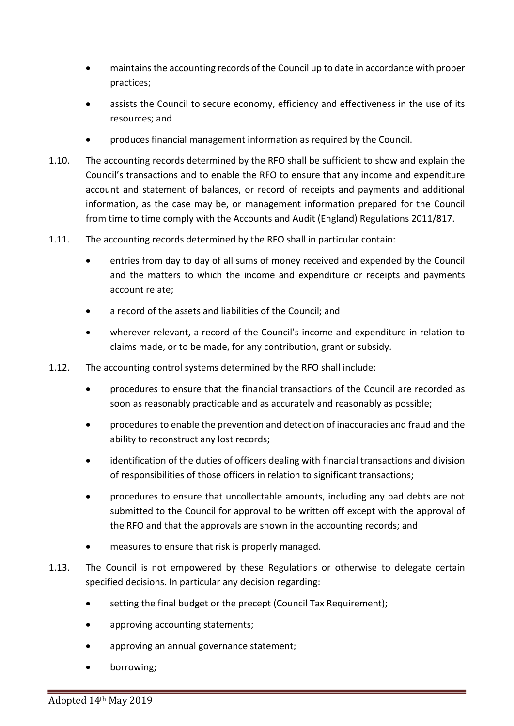- maintains the accounting records of the Council up to date in accordance with proper practices;
- assists the Council to secure economy, efficiency and effectiveness in the use of its resources; and
- produces financial management information as required by the Council.
- 1.10. The accounting records determined by the RFO shall be sufficient to show and explain the Council's transactions and to enable the RFO to ensure that any income and expenditure account and statement of balances, or record of receipts and payments and additional information, as the case may be, or management information prepared for the Council from time to time comply with the Accounts and Audit (England) Regulations 2011/817.
- 1.11. The accounting records determined by the RFO shall in particular contain:
	- entries from day to day of all sums of money received and expended by the Council and the matters to which the income and expenditure or receipts and payments account relate;
	- a record of the assets and liabilities of the Council; and
	- wherever relevant, a record of the Council's income and expenditure in relation to claims made, or to be made, for any contribution, grant or subsidy.
- 1.12. The accounting control systems determined by the RFO shall include:
	- procedures to ensure that the financial transactions of the Council are recorded as soon as reasonably practicable and as accurately and reasonably as possible;
	- procedures to enable the prevention and detection of inaccuracies and fraud and the ability to reconstruct any lost records;
	- identification of the duties of officers dealing with financial transactions and division of responsibilities of those officers in relation to significant transactions;
	- procedures to ensure that uncollectable amounts, including any bad debts are not submitted to the Council for approval to be written off except with the approval of the RFO and that the approvals are shown in the accounting records; and
	- measures to ensure that risk is properly managed.
- 1.13. The Council is not empowered by these Regulations or otherwise to delegate certain specified decisions. In particular any decision regarding:
	- setting the final budget or the precept (Council Tax Requirement);
	- approving accounting statements;
	- approving an annual governance statement;
	- borrowing;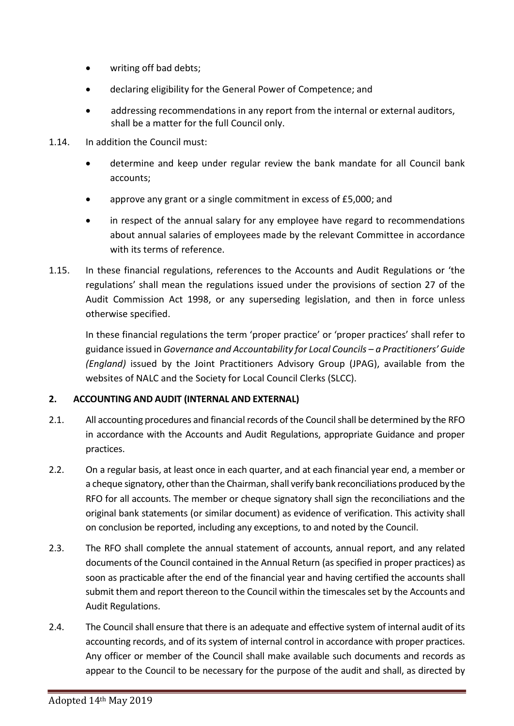- writing off bad debts;
- declaring eligibility for the General Power of Competence; and
- addressing recommendations in any report from the internal or external auditors, shall be a matter for the full Council only.
- 1.14. In addition the Council must:
	- determine and keep under regular review the bank mandate for all Council bank accounts;
	- approve any grant or a single commitment in excess of £5,000; and
	- in respect of the annual salary for any employee have regard to recommendations about annual salaries of employees made by the relevant Committee in accordance with its terms of reference.
- 1.15. In these financial regulations, references to the Accounts and Audit Regulations or 'the regulations' shall mean the regulations issued under the provisions of section 27 of the Audit Commission Act 1998, or any superseding legislation, and then in force unless otherwise specified.

In these financial regulations the term 'proper practice' or 'proper practices' shall refer to guidance issued in Governance and Accountability for Local Councils – a Practitioners' Guide (England) issued by the Joint Practitioners Advisory Group (JPAG), available from the websites of NALC and the Society for Local Council Clerks (SLCC).

#### 2. ACCOUNTING AND AUDIT (INTERNAL AND EXTERNAL)

- 2.1. All accounting procedures and financial records of the Council shall be determined by the RFO in accordance with the Accounts and Audit Regulations, appropriate Guidance and proper practices.
- 2.2. On a regular basis, at least once in each quarter, and at each financial year end, a member or a cheque signatory, other than the Chairman, shall verify bank reconciliations produced by the RFO for all accounts. The member or cheque signatory shall sign the reconciliations and the original bank statements (or similar document) as evidence of verification. This activity shall on conclusion be reported, including any exceptions, to and noted by the Council.
- 2.3. The RFO shall complete the annual statement of accounts, annual report, and any related documents of the Council contained in the Annual Return (as specified in proper practices) as soon as practicable after the end of the financial year and having certified the accounts shall submit them and report thereon to the Council within the timescales set by the Accounts and Audit Regulations.
- 2.4. The Council shall ensure that there is an adequate and effective system of internal audit of its accounting records, and of its system of internal control in accordance with proper practices. Any officer or member of the Council shall make available such documents and records as appear to the Council to be necessary for the purpose of the audit and shall, as directed by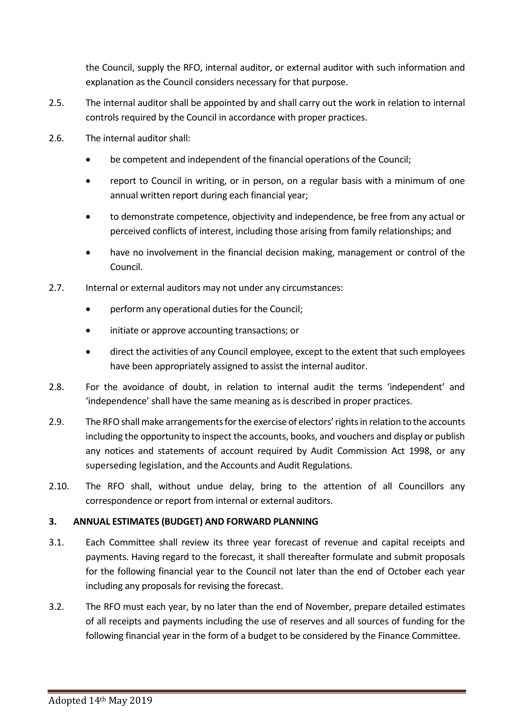the Council, supply the RFO, internal auditor, or external auditor with such information and explanation as the Council considers necessary for that purpose.

- 2.5. The internal auditor shall be appointed by and shall carry out the work in relation to internal controls required by the Council in accordance with proper practices.
- 2.6. The internal auditor shall:
	- be competent and independent of the financial operations of the Council;
	- report to Council in writing, or in person, on a regular basis with a minimum of one annual written report during each financial year;
	- to demonstrate competence, objectivity and independence, be free from any actual or perceived conflicts of interest, including those arising from family relationships; and
	- have no involvement in the financial decision making, management or control of the Council.
- 2.7. Internal or external auditors may not under any circumstances:
	- perform any operational duties for the Council;
	- initiate or approve accounting transactions; or
	- direct the activities of any Council employee, except to the extent that such employees have been appropriately assigned to assist the internal auditor.
- 2.8. For the avoidance of doubt, in relation to internal audit the terms 'independent' and 'independence' shall have the same meaning as is described in proper practices.
- 2.9. The RFO shall make arrangements for the exercise of electors' rights in relation to the accounts including the opportunity to inspect the accounts, books, and vouchers and display or publish any notices and statements of account required by Audit Commission Act 1998, or any superseding legislation, and the Accounts and Audit Regulations.
- 2.10. The RFO shall, without undue delay, bring to the attention of all Councillors any correspondence or report from internal or external auditors.

#### 3. ANNUAL ESTIMATES (BUDGET) AND FORWARD PLANNING

- 3.1. Each Committee shall review its three year forecast of revenue and capital receipts and payments. Having regard to the forecast, it shall thereafter formulate and submit proposals for the following financial year to the Council not later than the end of October each year including any proposals for revising the forecast.
- 3.2. The RFO must each year, by no later than the end of November, prepare detailed estimates of all receipts and payments including the use of reserves and all sources of funding for the following financial year in the form of a budget to be considered by the Finance Committee.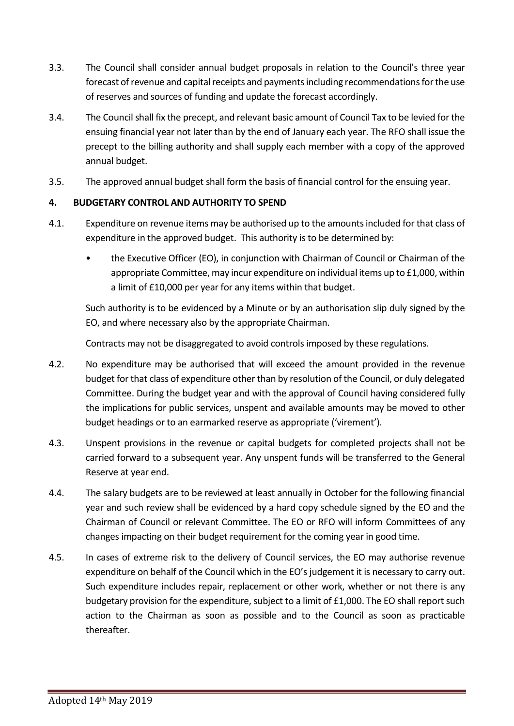- 3.3. The Council shall consider annual budget proposals in relation to the Council's three year forecast of revenue and capital receipts and payments including recommendations for the use of reserves and sources of funding and update the forecast accordingly.
- 3.4. The Council shall fix the precept, and relevant basic amount of Council Tax to be levied for the ensuing financial year not later than by the end of January each year. The RFO shall issue the precept to the billing authority and shall supply each member with a copy of the approved annual budget.
- 3.5. The approved annual budget shall form the basis of financial control for the ensuing year.

#### 4. BUDGETARY CONTROL AND AUTHORITY TO SPEND

- 4.1. Expenditure on revenue items may be authorised up to the amounts included for that class of expenditure in the approved budget. This authority is to be determined by:
	- the Executive Officer (EO), in conjunction with Chairman of Council or Chairman of the appropriate Committee, may incur expenditure on individual items up to £1,000, within a limit of £10,000 per year for any items within that budget.

Such authority is to be evidenced by a Minute or by an authorisation slip duly signed by the EO, and where necessary also by the appropriate Chairman.

Contracts may not be disaggregated to avoid controls imposed by these regulations.

- 4.2. No expenditure may be authorised that will exceed the amount provided in the revenue budget for that class of expenditure other than by resolution of the Council, or duly delegated Committee. During the budget year and with the approval of Council having considered fully the implications for public services, unspent and available amounts may be moved to other budget headings or to an earmarked reserve as appropriate ('virement').
- 4.3. Unspent provisions in the revenue or capital budgets for completed projects shall not be carried forward to a subsequent year. Any unspent funds will be transferred to the General Reserve at year end.
- 4.4. The salary budgets are to be reviewed at least annually in October for the following financial year and such review shall be evidenced by a hard copy schedule signed by the EO and the Chairman of Council or relevant Committee. The EO or RFO will inform Committees of any changes impacting on their budget requirement for the coming year in good time.
- 4.5. In cases of extreme risk to the delivery of Council services, the EO may authorise revenue expenditure on behalf of the Council which in the EO's judgement it is necessary to carry out. Such expenditure includes repair, replacement or other work, whether or not there is any budgetary provision for the expenditure, subject to a limit of £1,000. The EO shall report such action to the Chairman as soon as possible and to the Council as soon as practicable thereafter.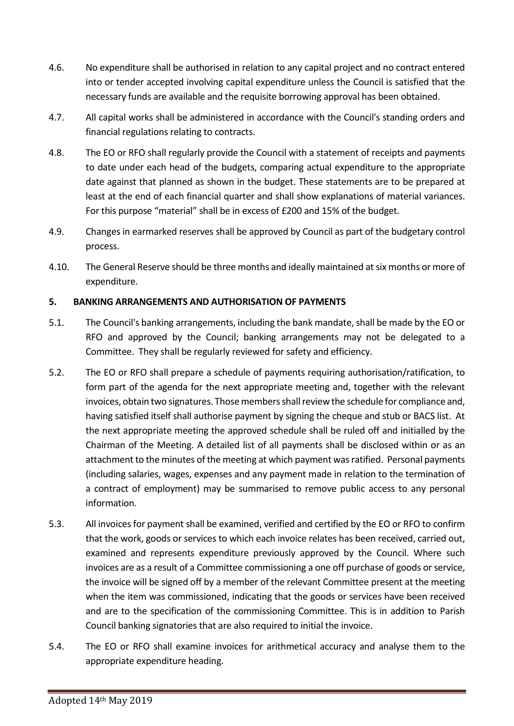- 4.6. No expenditure shall be authorised in relation to any capital project and no contract entered into or tender accepted involving capital expenditure unless the Council is satisfied that the necessary funds are available and the requisite borrowing approval has been obtained.
- 4.7. All capital works shall be administered in accordance with the Council's standing orders and financial regulations relating to contracts.
- 4.8. The EO or RFO shall regularly provide the Council with a statement of receipts and payments to date under each head of the budgets, comparing actual expenditure to the appropriate date against that planned as shown in the budget. These statements are to be prepared at least at the end of each financial quarter and shall show explanations of material variances. For this purpose "material" shall be in excess of £200 and 15% of the budget.
- 4.9. Changes in earmarked reserves shall be approved by Council as part of the budgetary control process.
- 4.10. The General Reserve should be three months and ideally maintained at six months or more of expenditure.

#### 5. BANKING ARRANGEMENTS AND AUTHORISATION OF PAYMENTS

- 5.1. The Council's banking arrangements, including the bank mandate, shall be made by the EO or RFO and approved by the Council; banking arrangements may not be delegated to a Committee. They shall be regularly reviewed for safety and efficiency.
- 5.2. The EO or RFO shall prepare a schedule of payments requiring authorisation/ratification, to form part of the agenda for the next appropriate meeting and, together with the relevant invoices, obtain two signatures. Those members shall review the schedule for compliance and, having satisfied itself shall authorise payment by signing the cheque and stub or BACS list. At the next appropriate meeting the approved schedule shall be ruled off and initialled by the Chairman of the Meeting. A detailed list of all payments shall be disclosed within or as an attachment to the minutes of the meeting at which payment was ratified. Personal payments (including salaries, wages, expenses and any payment made in relation to the termination of a contract of employment) may be summarised to remove public access to any personal information.
- 5.3. All invoices for payment shall be examined, verified and certified by the EO or RFO to confirm that the work, goods or services to which each invoice relates has been received, carried out, examined and represents expenditure previously approved by the Council. Where such invoices are as a result of a Committee commissioning a one off purchase of goods or service, the invoice will be signed off by a member of the relevant Committee present at the meeting when the item was commissioned, indicating that the goods or services have been received and are to the specification of the commissioning Committee. This is in addition to Parish Council banking signatories that are also required to initial the invoice.
- 5.4. The EO or RFO shall examine invoices for arithmetical accuracy and analyse them to the appropriate expenditure heading.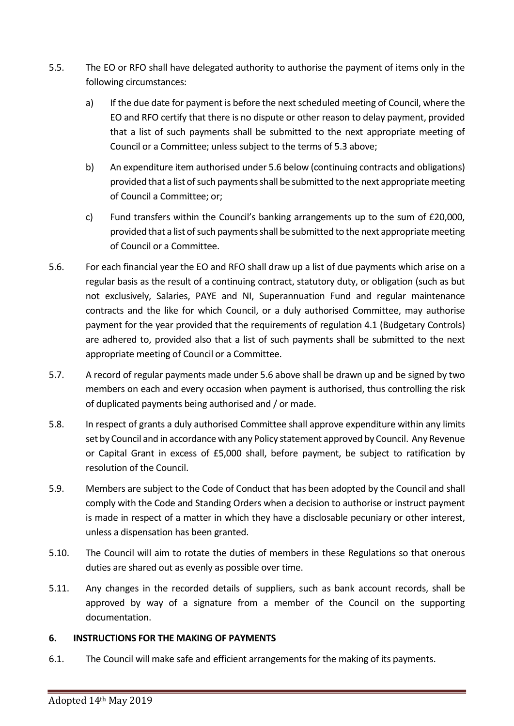- 5.5. The EO or RFO shall have delegated authority to authorise the payment of items only in the following circumstances:
	- a) If the due date for payment is before the next scheduled meeting of Council, where the EO and RFO certify that there is no dispute or other reason to delay payment, provided that a list of such payments shall be submitted to the next appropriate meeting of Council or a Committee; unless subject to the terms of 5.3 above;
	- b) An expenditure item authorised under 5.6 below (continuing contracts and obligations) provided that a list of such payments shall be submitted to the next appropriate meeting of Council a Committee; or;
	- c) Fund transfers within the Council's banking arrangements up to the sum of £20,000, provided that a list of such payments shall be submitted to the next appropriate meeting of Council or a Committee.
- 5.6. For each financial year the EO and RFO shall draw up a list of due payments which arise on a regular basis as the result of a continuing contract, statutory duty, or obligation (such as but not exclusively, Salaries, PAYE and NI, Superannuation Fund and regular maintenance contracts and the like for which Council, or a duly authorised Committee, may authorise payment for the year provided that the requirements of regulation 4.1 (Budgetary Controls) are adhered to, provided also that a list of such payments shall be submitted to the next appropriate meeting of Council or a Committee.
- 5.7. A record of regular payments made under 5.6 above shall be drawn up and be signed by two members on each and every occasion when payment is authorised, thus controlling the risk of duplicated payments being authorised and / or made.
- 5.8. In respect of grants a duly authorised Committee shall approve expenditure within any limits set by Council and in accordance with any Policy statement approved by Council. Any Revenue or Capital Grant in excess of £5,000 shall, before payment, be subject to ratification by resolution of the Council.
- 5.9. Members are subject to the Code of Conduct that has been adopted by the Council and shall comply with the Code and Standing Orders when a decision to authorise or instruct payment is made in respect of a matter in which they have a disclosable pecuniary or other interest, unless a dispensation has been granted.
- 5.10. The Council will aim to rotate the duties of members in these Regulations so that onerous duties are shared out as evenly as possible over time.
- 5.11. Any changes in the recorded details of suppliers, such as bank account records, shall be approved by way of a signature from a member of the Council on the supporting documentation.

#### 6. INSTRUCTIONS FOR THE MAKING OF PAYMENTS

6.1. The Council will make safe and efficient arrangements for the making of its payments.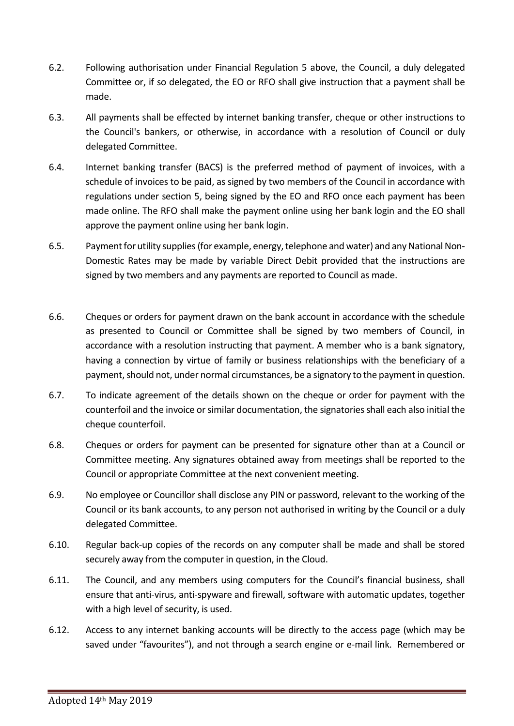- 6.2. Following authorisation under Financial Regulation 5 above, the Council, a duly delegated Committee or, if so delegated, the EO or RFO shall give instruction that a payment shall be made.
- 6.3. All payments shall be effected by internet banking transfer, cheque or other instructions to the Council's bankers, or otherwise, in accordance with a resolution of Council or duly delegated Committee.
- 6.4. Internet banking transfer (BACS) is the preferred method of payment of invoices, with a schedule of invoices to be paid, as signed by two members of the Council in accordance with regulations under section 5, being signed by the EO and RFO once each payment has been made online. The RFO shall make the payment online using her bank login and the EO shall approve the payment online using her bank login.
- 6.5. Payment for utility supplies (for example, energy, telephone and water) and any National Non-Domestic Rates may be made by variable Direct Debit provided that the instructions are signed by two members and any payments are reported to Council as made.
- 6.6. Cheques or orders for payment drawn on the bank account in accordance with the schedule as presented to Council or Committee shall be signed by two members of Council, in accordance with a resolution instructing that payment. A member who is a bank signatory, having a connection by virtue of family or business relationships with the beneficiary of a payment, should not, under normal circumstances, be a signatory to the payment in question.
- 6.7. To indicate agreement of the details shown on the cheque or order for payment with the counterfoil and the invoice or similar documentation, the signatories shall each also initial the cheque counterfoil.
- 6.8. Cheques or orders for payment can be presented for signature other than at a Council or Committee meeting. Any signatures obtained away from meetings shall be reported to the Council or appropriate Committee at the next convenient meeting.
- 6.9. No employee or Councillor shall disclose any PIN or password, relevant to the working of the Council or its bank accounts, to any person not authorised in writing by the Council or a duly delegated Committee.
- 6.10. Regular back-up copies of the records on any computer shall be made and shall be stored securely away from the computer in question, in the Cloud.
- 6.11. The Council, and any members using computers for the Council's financial business, shall ensure that anti-virus, anti-spyware and firewall, software with automatic updates, together with a high level of security, is used.
- 6.12. Access to any internet banking accounts will be directly to the access page (which may be saved under "favourites"), and not through a search engine or e-mail link. Remembered or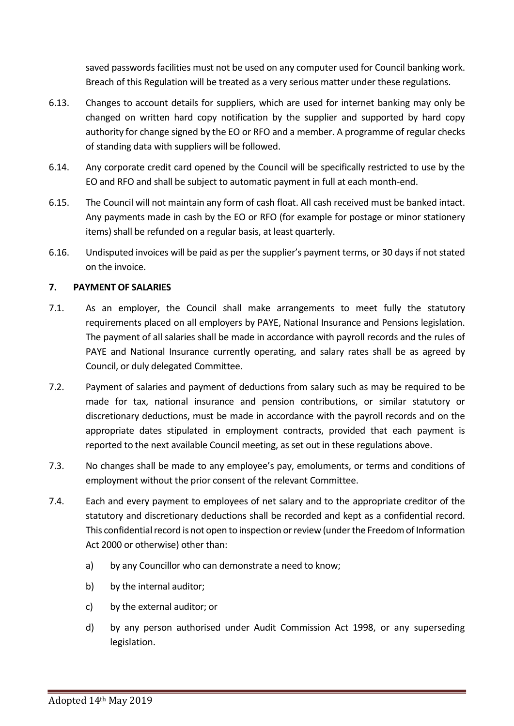saved passwords facilities must not be used on any computer used for Council banking work. Breach of this Regulation will be treated as a very serious matter under these regulations.

- 6.13. Changes to account details for suppliers, which are used for internet banking may only be changed on written hard copy notification by the supplier and supported by hard copy authority for change signed by the EO or RFO and a member. A programme of regular checks of standing data with suppliers will be followed.
- 6.14. Any corporate credit card opened by the Council will be specifically restricted to use by the EO and RFO and shall be subject to automatic payment in full at each month-end.
- 6.15. The Council will not maintain any form of cash float. All cash received must be banked intact. Any payments made in cash by the EO or RFO (for example for postage or minor stationery items) shall be refunded on a regular basis, at least quarterly.
- 6.16. Undisputed invoices will be paid as per the supplier's payment terms, or 30 days if not stated on the invoice.

#### 7. PAYMENT OF SALARIES

- 7.1. As an employer, the Council shall make arrangements to meet fully the statutory requirements placed on all employers by PAYE, National Insurance and Pensions legislation. The payment of all salaries shall be made in accordance with payroll records and the rules of PAYE and National Insurance currently operating, and salary rates shall be as agreed by Council, or duly delegated Committee.
- 7.2. Payment of salaries and payment of deductions from salary such as may be required to be made for tax, national insurance and pension contributions, or similar statutory or discretionary deductions, must be made in accordance with the payroll records and on the appropriate dates stipulated in employment contracts, provided that each payment is reported to the next available Council meeting, as set out in these regulations above.
- 7.3. No changes shall be made to any employee's pay, emoluments, or terms and conditions of employment without the prior consent of the relevant Committee.
- 7.4. Each and every payment to employees of net salary and to the appropriate creditor of the statutory and discretionary deductions shall be recorded and kept as a confidential record. This confidential record is not open to inspection or review (under the Freedom of Information Act 2000 or otherwise) other than:
	- a) by any Councillor who can demonstrate a need to know;
	- b) by the internal auditor;
	- c) by the external auditor; or
	- d) by any person authorised under Audit Commission Act 1998, or any superseding legislation.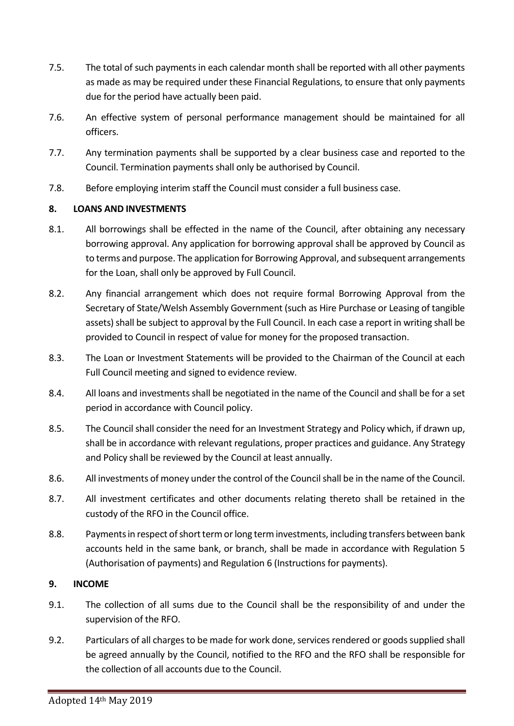- 7.5. The total of such payments in each calendar month shall be reported with all other payments as made as may be required under these Financial Regulations, to ensure that only payments due for the period have actually been paid.
- 7.6. An effective system of personal performance management should be maintained for all officers.
- 7.7. Any termination payments shall be supported by a clear business case and reported to the Council. Termination payments shall only be authorised by Council.
- 7.8. Before employing interim staff the Council must consider a full business case.

#### 8. LOANS AND INVESTMENTS

- 8.1. All borrowings shall be effected in the name of the Council, after obtaining any necessary borrowing approval. Any application for borrowing approval shall be approved by Council as to terms and purpose. The application for Borrowing Approval, and subsequent arrangements for the Loan, shall only be approved by Full Council.
- 8.2. Any financial arrangement which does not require formal Borrowing Approval from the Secretary of State/Welsh Assembly Government (such as Hire Purchase or Leasing of tangible assets) shall be subject to approval by the Full Council. In each case a report in writing shall be provided to Council in respect of value for money for the proposed transaction.
- 8.3. The Loan or Investment Statements will be provided to the Chairman of the Council at each Full Council meeting and signed to evidence review.
- 8.4. All loans and investments shall be negotiated in the name of the Council and shall be for a set period in accordance with Council policy.
- 8.5. The Council shall consider the need for an Investment Strategy and Policy which, if drawn up, shall be in accordance with relevant regulations, proper practices and guidance. Any Strategy and Policy shall be reviewed by the Council at least annually.
- 8.6. All investments of money under the control of the Council shall be in the name of the Council.
- 8.7. All investment certificates and other documents relating thereto shall be retained in the custody of the RFO in the Council office.
- 8.8. Payments in respect of short term or long term investments, including transfers between bank accounts held in the same bank, or branch, shall be made in accordance with Regulation 5 (Authorisation of payments) and Regulation 6 (Instructions for payments).

#### 9. INCOME

- 9.1. The collection of all sums due to the Council shall be the responsibility of and under the supervision of the RFO.
- 9.2. Particulars of all charges to be made for work done, services rendered or goods supplied shall be agreed annually by the Council, notified to the RFO and the RFO shall be responsible for the collection of all accounts due to the Council.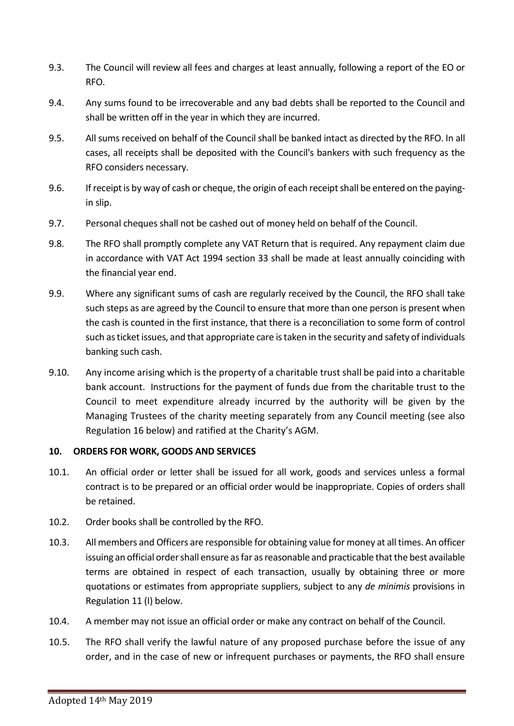- 9.3. The Council will review all fees and charges at least annually, following a report of the EO or RFO.
- 9.4. Any sums found to be irrecoverable and any bad debts shall be reported to the Council and shall be written off in the year in which they are incurred.
- 9.5. All sums received on behalf of the Council shall be banked intact as directed by the RFO. In all cases, all receipts shall be deposited with the Council's bankers with such frequency as the RFO considers necessary.
- 9.6. If receipt is by way of cash or cheque, the origin of each receipt shall be entered on the payingin slip.
- 9.7. Personal cheques shall not be cashed out of money held on behalf of the Council.
- 9.8. The RFO shall promptly complete any VAT Return that is required. Any repayment claim due in accordance with VAT Act 1994 section 33 shall be made at least annually coinciding with the financial year end.
- 9.9. Where any significant sums of cash are regularly received by the Council, the RFO shall take such steps as are agreed by the Council to ensure that more than one person is present when the cash is counted in the first instance, that there is a reconciliation to some form of control such as ticket issues, and that appropriate care is taken in the security and safety of individuals banking such cash.
- 9.10. Any income arising which is the property of a charitable trust shall be paid into a charitable bank account. Instructions for the payment of funds due from the charitable trust to the Council to meet expenditure already incurred by the authority will be given by the Managing Trustees of the charity meeting separately from any Council meeting (see also Regulation 16 below) and ratified at the Charity's AGM.

### 10. ORDERS FOR WORK, GOODS AND SERVICES

- 10.1. An official order or letter shall be issued for all work, goods and services unless a formal contract is to be prepared or an official order would be inappropriate. Copies of orders shall be retained.
- 10.2. Order books shall be controlled by the RFO.
- 10.3. All members and Officers are responsible for obtaining value for money at all times. An officer issuing an official order shall ensure as far as reasonable and practicable that the best available terms are obtained in respect of each transaction, usually by obtaining three or more quotations or estimates from appropriate suppliers, subject to any de minimis provisions in Regulation 11 (I) below.
- 10.4. A member may not issue an official order or make any contract on behalf of the Council.
- 10.5. The RFO shall verify the lawful nature of any proposed purchase before the issue of any order, and in the case of new or infrequent purchases or payments, the RFO shall ensure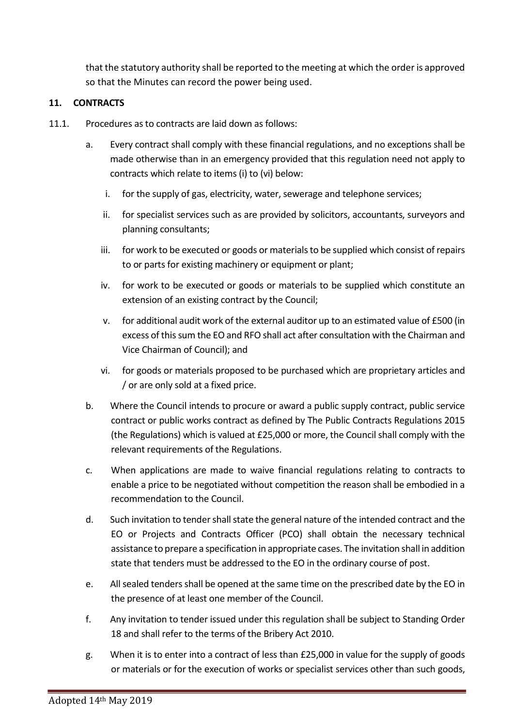that the statutory authority shall be reported to the meeting at which the order is approved so that the Minutes can record the power being used.

#### 11. CONTRACTS

- 11.1. Procedures as to contracts are laid down as follows:
	- a. Every contract shall comply with these financial regulations, and no exceptions shall be made otherwise than in an emergency provided that this regulation need not apply to contracts which relate to items (i) to (vi) below:
		- i. for the supply of gas, electricity, water, sewerage and telephone services;
		- ii. for specialist services such as are provided by solicitors, accountants, surveyors and planning consultants;
		- iii. for work to be executed or goods or materials to be supplied which consist of repairs to or parts for existing machinery or equipment or plant;
		- iv. for work to be executed or goods or materials to be supplied which constitute an extension of an existing contract by the Council;
		- v. for additional audit work of the external auditor up to an estimated value of £500 (in excess of this sum the EO and RFO shall act after consultation with the Chairman and Vice Chairman of Council); and
		- vi. for goods or materials proposed to be purchased which are proprietary articles and / or are only sold at a fixed price.
	- b. Where the Council intends to procure or award a public supply contract, public service contract or public works contract as defined by The Public Contracts Regulations 2015 (the Regulations) which is valued at £25,000 or more, the Council shall comply with the relevant requirements of the Regulations.
	- c. When applications are made to waive financial regulations relating to contracts to enable a price to be negotiated without competition the reason shall be embodied in a recommendation to the Council.
	- d. Such invitation to tender shall state the general nature of the intended contract and the EO or Projects and Contracts Officer (PCO) shall obtain the necessary technical assistance to prepare a specification in appropriate cases. The invitation shall in addition state that tenders must be addressed to the EO in the ordinary course of post.
	- e. All sealed tenders shall be opened at the same time on the prescribed date by the EO in the presence of at least one member of the Council.
	- f. Any invitation to tender issued under this regulation shall be subject to Standing Order 18 and shall refer to the terms of the Bribery Act 2010.
	- g. When it is to enter into a contract of less than £25,000 in value for the supply of goods or materials or for the execution of works or specialist services other than such goods,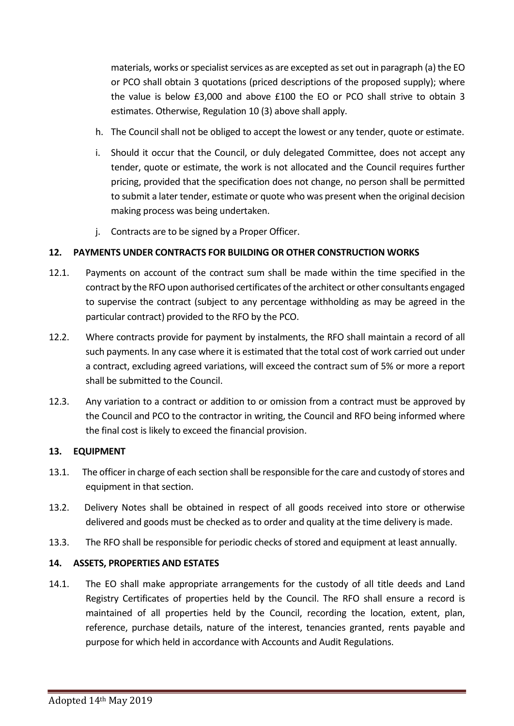materials, works or specialist services as are excepted as set out in paragraph (a) the EO or PCO shall obtain 3 quotations (priced descriptions of the proposed supply); where the value is below £3,000 and above £100 the EO or PCO shall strive to obtain 3 estimates. Otherwise, Regulation 10 (3) above shall apply.

- h. The Council shall not be obliged to accept the lowest or any tender, quote or estimate.
- i. Should it occur that the Council, or duly delegated Committee, does not accept any tender, quote or estimate, the work is not allocated and the Council requires further pricing, provided that the specification does not change, no person shall be permitted to submit a later tender, estimate or quote who was present when the original decision making process was being undertaken.
- j. Contracts are to be signed by a Proper Officer.

#### 12. PAYMENTS UNDER CONTRACTS FOR BUILDING OR OTHER CONSTRUCTION WORKS

- 12.1. Payments on account of the contract sum shall be made within the time specified in the contract by the RFO upon authorised certificates of the architect or other consultants engaged to supervise the contract (subject to any percentage withholding as may be agreed in the particular contract) provided to the RFO by the PCO.
- 12.2. Where contracts provide for payment by instalments, the RFO shall maintain a record of all such payments. In any case where it is estimated that the total cost of work carried out under a contract, excluding agreed variations, will exceed the contract sum of 5% or more a report shall be submitted to the Council.
- 12.3. Any variation to a contract or addition to or omission from a contract must be approved by the Council and PCO to the contractor in writing, the Council and RFO being informed where the final cost is likely to exceed the financial provision.

#### 13. EQUIPMENT

- 13.1. The officer in charge of each section shall be responsible for the care and custody of stores and equipment in that section.
- 13.2. Delivery Notes shall be obtained in respect of all goods received into store or otherwise delivered and goods must be checked as to order and quality at the time delivery is made.
- 13.3. The RFO shall be responsible for periodic checks of stored and equipment at least annually.

#### 14. ASSETS, PROPERTIES AND ESTATES

14.1. The EO shall make appropriate arrangements for the custody of all title deeds and Land Registry Certificates of properties held by the Council. The RFO shall ensure a record is maintained of all properties held by the Council, recording the location, extent, plan, reference, purchase details, nature of the interest, tenancies granted, rents payable and purpose for which held in accordance with Accounts and Audit Regulations.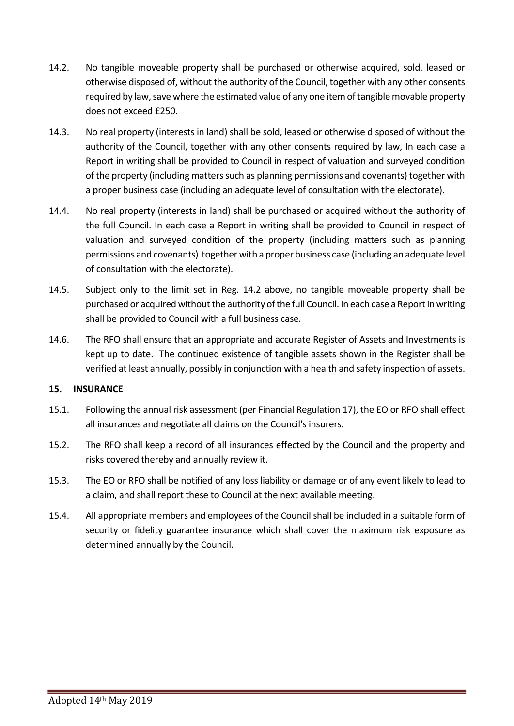- 14.2. No tangible moveable property shall be purchased or otherwise acquired, sold, leased or otherwise disposed of, without the authority of the Council, together with any other consents required by law, save where the estimated value of any one item of tangible movable property does not exceed £250.
- 14.3. No real property (interests in land) shall be sold, leased or otherwise disposed of without the authority of the Council, together with any other consents required by law, In each case a Report in writing shall be provided to Council in respect of valuation and surveyed condition of the property (including matters such as planning permissions and covenants) together with a proper business case (including an adequate level of consultation with the electorate).
- 14.4. No real property (interests in land) shall be purchased or acquired without the authority of the full Council. In each case a Report in writing shall be provided to Council in respect of valuation and surveyed condition of the property (including matters such as planning permissions and covenants) together with a proper business case (including an adequate level of consultation with the electorate).
- 14.5. Subject only to the limit set in Reg. 14.2 above, no tangible moveable property shall be purchased or acquired without the authority of the full Council. In each case a Report in writing shall be provided to Council with a full business case.
- 14.6. The RFO shall ensure that an appropriate and accurate Register of Assets and Investments is kept up to date. The continued existence of tangible assets shown in the Register shall be verified at least annually, possibly in conjunction with a health and safety inspection of assets.

#### 15. INSURANCE

- 15.1. Following the annual risk assessment (per Financial Regulation 17), the EO or RFO shall effect all insurances and negotiate all claims on the Council's insurers.
- 15.2. The RFO shall keep a record of all insurances effected by the Council and the property and risks covered thereby and annually review it.
- 15.3. The EO or RFO shall be notified of any loss liability or damage or of any event likely to lead to a claim, and shall report these to Council at the next available meeting.
- 15.4. All appropriate members and employees of the Council shall be included in a suitable form of security or fidelity guarantee insurance which shall cover the maximum risk exposure as determined annually by the Council.